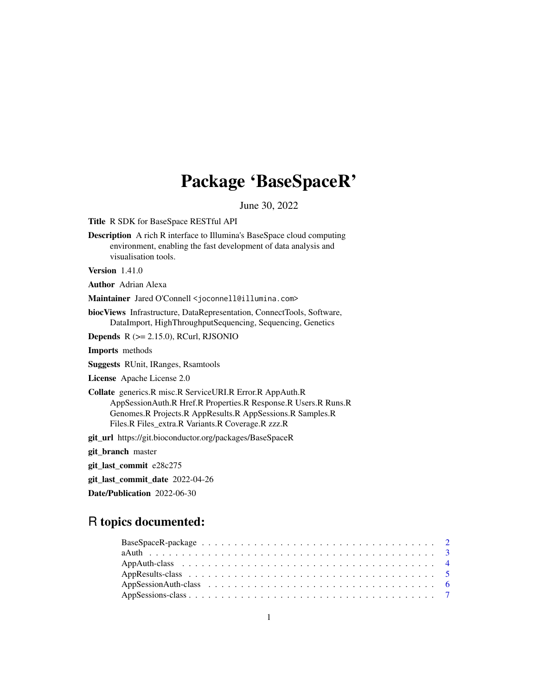# Package 'BaseSpaceR'

June 30, 2022

Title R SDK for BaseSpace RESTful API

Description A rich R interface to Illumina's BaseSpace cloud computing environment, enabling the fast development of data analysis and visualisation tools.

Version 1.41.0

Author Adrian Alexa

Maintainer Jared O'Connell <joconnell@illumina.com>

biocViews Infrastructure, DataRepresentation, ConnectTools, Software, DataImport, HighThroughputSequencing, Sequencing, Genetics

**Depends**  $R$  ( $>= 2.15.0$ ), RCurl, RJSONIO

Imports methods

Suggests RUnit, IRanges, Rsamtools

License Apache License 2.0

Collate generics.R misc.R ServiceURI.R Error.R AppAuth.R AppSessionAuth.R Href.R Properties.R Response.R Users.R Runs.R Genomes.R Projects.R AppResults.R AppSessions.R Samples.R Files.R Files\_extra.R Variants.R Coverage.R zzz.R

git\_url https://git.bioconductor.org/packages/BaseSpaceR

git\_branch master

git\_last\_commit e28c275

git\_last\_commit\_date 2022-04-26

Date/Publication 2022-06-30

# R topics documented: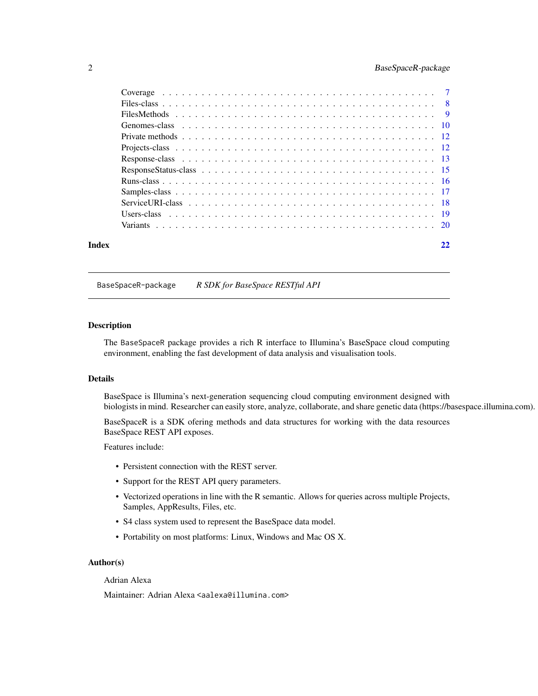# <span id="page-1-0"></span>2 BaseSpaceR-package

| Index | 22 |
|-------|----|
|       |    |

BaseSpaceR-package *R SDK for BaseSpace RESTful API*

#### Description

The BaseSpaceR package provides a rich R interface to Illumina's BaseSpace cloud computing environment, enabling the fast development of data analysis and visualisation tools.

# Details

BaseSpace is Illumina's next-generation sequencing cloud computing environment designed with biologists in mind. Researcher can easily store, analyze, collaborate, and share genetic data (https://basespace.illumina.com).

BaseSpaceR is a SDK ofering methods and data structures for working with the data resources BaseSpace REST API exposes.

Features include:

- Persistent connection with the REST server.
- Support for the REST API query parameters.
- Vectorized operations in line with the R semantic. Allows for queries across multiple Projects, Samples, AppResults, Files, etc.
- S4 class system used to represent the BaseSpace data model.
- Portability on most platforms: Linux, Windows and Mac OS X.

#### Author(s)

Adrian Alexa

Maintainer: Adrian Alexa <aalexa@illumina.com>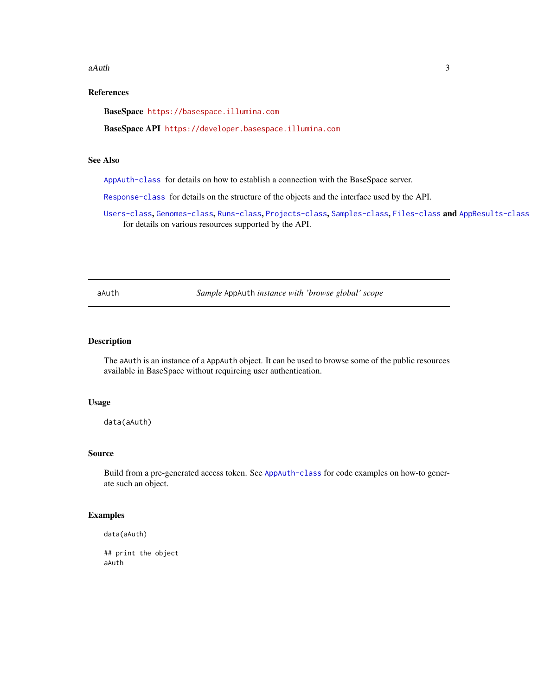#### <span id="page-2-0"></span> $aA$ uth  $3a$

# References

BaseSpace <https://basespace.illumina.com>

BaseSpace API <https://developer.basespace.illumina.com>

## See Also

[AppAuth-class](#page-3-1) for details on how to establish a connection with the BaseSpace server.

[Response-class](#page-12-1) for details on the structure of the objects and the interface used by the API.

[Users-class](#page-18-1), [Genomes-class](#page-9-1), [Runs-class](#page-15-1), [Projects-class](#page-11-1), [Samples-class](#page-16-1), [Files-class](#page-7-1) and [AppResults-class](#page-4-1) for details on various resources supported by the API.

aAuth *Sample* AppAuth *instance with 'browse global' scope*

#### Description

The aAuth is an instance of a AppAuth object. It can be used to browse some of the public resources available in BaseSpace without requireing user authentication.

#### Usage

data(aAuth)

# Source

Build from a pre-generated access token. See [AppAuth-class](#page-3-1) for code examples on how-to generate such an object.

#### Examples

```
data(aAuth)
```
## print the object aAuth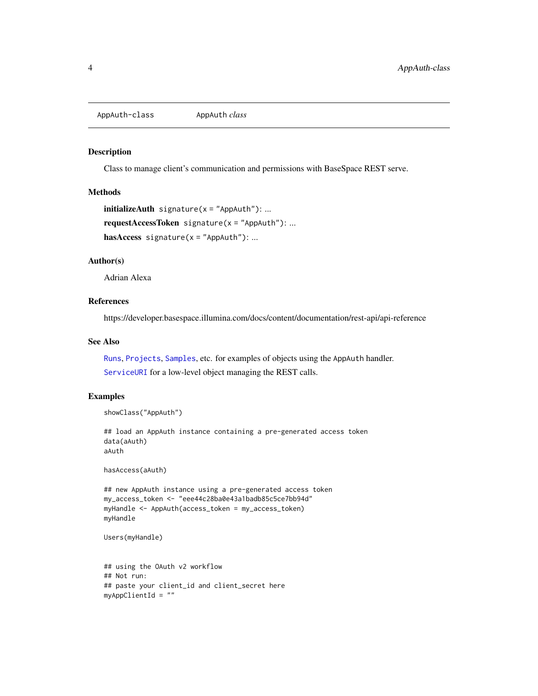<span id="page-3-1"></span><span id="page-3-0"></span>AppAuth-class AppAuth *class*

#### Description

Class to manage client's communication and permissions with BaseSpace REST serve.

#### Methods

```
initializeAuthor signature(x = "AppAuth"): ...
requestAccessToken signature(x = "AppAuth"): ...
hasAccess signature(x = "AppAuth"): ...
```
#### Author(s)

Adrian Alexa

#### References

https://developer.basespace.illumina.com/docs/content/documentation/rest-api/api-reference

#### See Also

[Runs](#page-15-1), [Projects](#page-11-1), [Samples](#page-16-1), etc. for examples of objects using the AppAuth handler. [ServiceURI](#page-17-1) for a low-level object managing the REST calls.

#### Examples

```
showClass("AppAuth")
```

```
## load an AppAuth instance containing a pre-generated access token
data(aAuth)
aAuth
```
hasAccess(aAuth)

```
## new AppAuth instance using a pre-generated access token
my_access_token <- "eee44c28ba0e43a1badb85c5ce7bb94d"
myHandle <- AppAuth(access_token = my_access_token)
myHandle
```
Users(myHandle)

```
## using the OAuth v2 workflow
## Not run:
## paste your client_id and client_secret here
myAppClientId = ""
```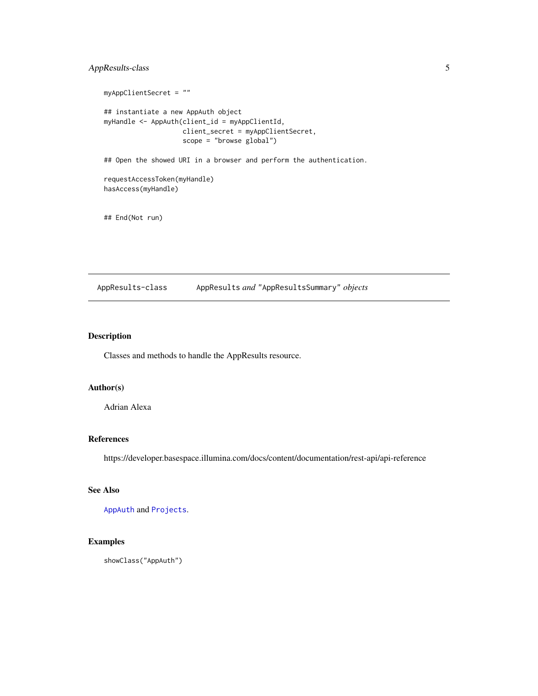# <span id="page-4-0"></span>AppResults-class 5

```
myAppClientSecret = ""
## instantiate a new AppAuth object
myHandle <- AppAuth(client_id = myAppClientId,
                    client_secret = myAppClientSecret,
                    scope = "browse global")
## Open the showed URI in a browser and perform the authentication.
requestAccessToken(myHandle)
hasAccess(myHandle)
## End(Not run)
```
<span id="page-4-1"></span>AppResults-class AppResults *and* "AppResultsSummary" *objects*

# Description

Classes and methods to handle the AppResults resource.

# Author(s)

Adrian Alexa

#### References

https://developer.basespace.illumina.com/docs/content/documentation/rest-api/api-reference

# See Also

[AppAuth](#page-3-1) and [Projects](#page-11-1).

# Examples

showClass("AppAuth")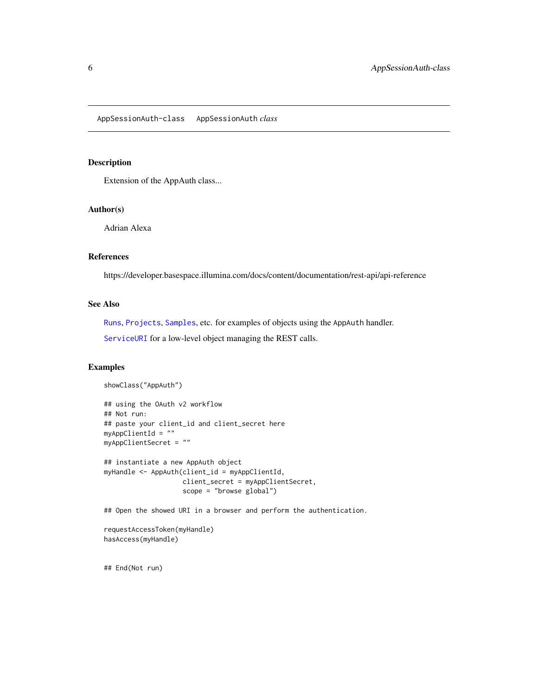<span id="page-5-0"></span>AppSessionAuth-class AppSessionAuth *class*

#### Description

Extension of the AppAuth class...

## Author(s)

Adrian Alexa

# References

https://developer.basespace.illumina.com/docs/content/documentation/rest-api/api-reference

# See Also

[Runs](#page-15-1), [Projects](#page-11-1), [Samples](#page-16-1), etc. for examples of objects using the AppAuth handler.

[ServiceURI](#page-17-1) for a low-level object managing the REST calls.

# Examples

```
showClass("AppAuth")
```

```
## using the OAuth v2 workflow
## Not run:
## paste your client_id and client_secret here
myAppClientId = ""
myAppClientSecret = ""
```

```
## instantiate a new AppAuth object
myHandle <- AppAuth(client_id = myAppClientId,
                    client_secret = myAppClientSecret,
                    scope = "browse global")
```
## Open the showed URI in a browser and perform the authentication.

```
requestAccessToken(myHandle)
hasAccess(myHandle)
```
## End(Not run)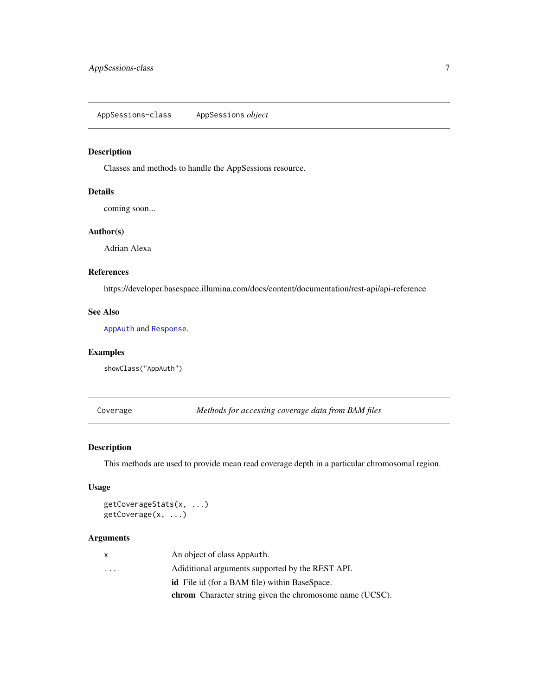# <span id="page-6-0"></span>Description

Classes and methods to handle the AppSessions resource.

# Details

coming soon...

# Author(s)

Adrian Alexa

# References

https://developer.basespace.illumina.com/docs/content/documentation/rest-api/api-reference

# See Also

[AppAuth](#page-3-1) and [Response](#page-12-1).

# Examples

showClass("AppAuth")

Coverage *Methods for accessing coverage data from BAM files*

### Description

This methods are used to provide mean read coverage depth in a particular chromosomal region.

# Usage

```
getCoverageStats(x, ...)
getCoverage(x, ...)
```
# Arguments

| $\mathsf{X}$            | An object of class AppAuth.                              |
|-------------------------|----------------------------------------------------------|
| $\cdot$ $\cdot$ $\cdot$ | Adiditional arguments supported by the REST API.         |
|                         | <b>id</b> File id (for a BAM file) within BaseSpace.     |
|                         | chrom Character string given the chromosome name (UCSC). |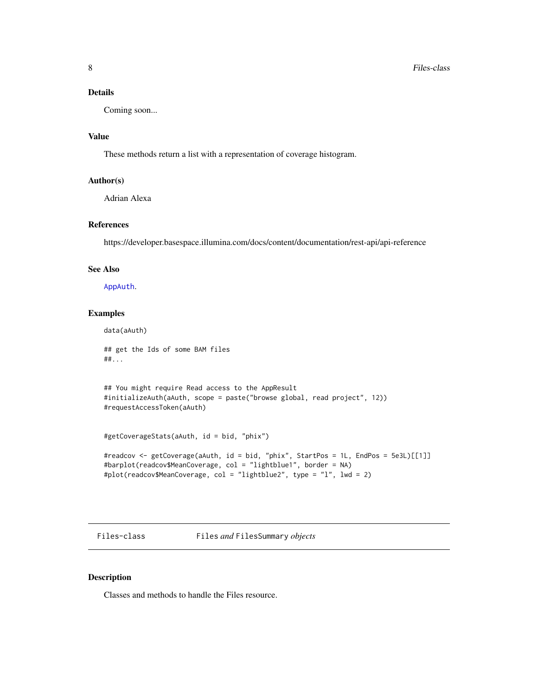# <span id="page-7-0"></span>Details

Coming soon...

# Value

These methods return a list with a representation of coverage histogram.

#### Author(s)

Adrian Alexa

#### References

https://developer.basespace.illumina.com/docs/content/documentation/rest-api/api-reference

#### See Also

[AppAuth](#page-3-1).

data(aAuth)

# Examples

## get the Ids of some BAM files ##...

```
## You might require Read access to the AppResult
#initializeAuth(aAuth, scope = paste("browse global, read project", 12))
#requestAccessToken(aAuth)
```
#getCoverageStats(aAuth, id = bid, "phix")

```
#readcov <- getCoverage(aAuth, id = bid, "phix", StartPos = 1L, EndPos = 5e3L)[[1]]
#barplot(readcov$MeanCoverage, col = "lightblue1", border = NA)
#plot(readcov$MeanCoverage, col = "lightblue2", type = "l", lwd = 2)
```
<span id="page-7-1"></span>Files-class Files *and* FilesSummary *objects*

#### Description

Classes and methods to handle the Files resource.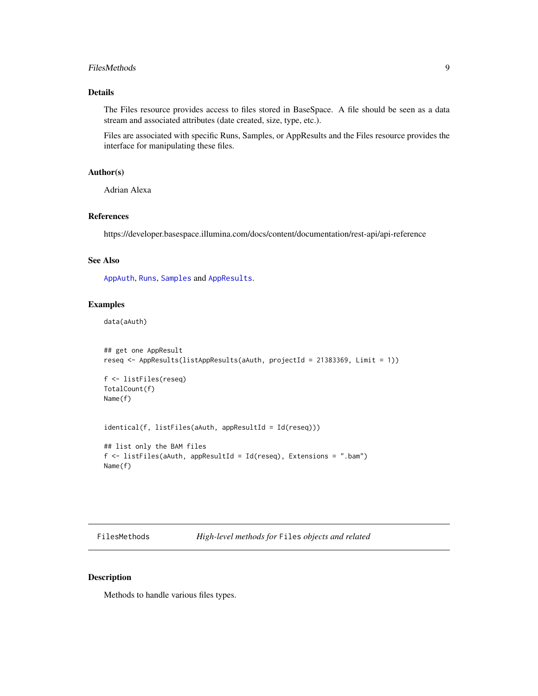#### <span id="page-8-0"></span>FilesMethods 9

# Details

The Files resource provides access to files stored in BaseSpace. A file should be seen as a data stream and associated attributes (date created, size, type, etc.).

Files are associated with specific Runs, Samples, or AppResults and the Files resource provides the interface for manipulating these files.

#### Author(s)

Adrian Alexa

# References

https://developer.basespace.illumina.com/docs/content/documentation/rest-api/api-reference

#### See Also

[AppAuth](#page-3-1), [Runs](#page-15-1), [Samples](#page-16-1) and [AppResults](#page-4-1).

# Examples

data(aAuth)

```
## get one AppResult
reseq <- AppResults(listAppResults(aAuth, projectId = 21383369, Limit = 1))
```

```
f <- listFiles(reseq)
TotalCount(f)
Name(f)
```

```
identical(f, listFiles(aAuth, appResultId = Id(reseq)))
```

```
## list only the BAM files
f <- listFiles(aAuth, appResultId = Id(reseq), Extensions = ".bam")
Name(f)
```
FilesMethods *High-level methods for* Files *objects and related*

#### Description

Methods to handle various files types.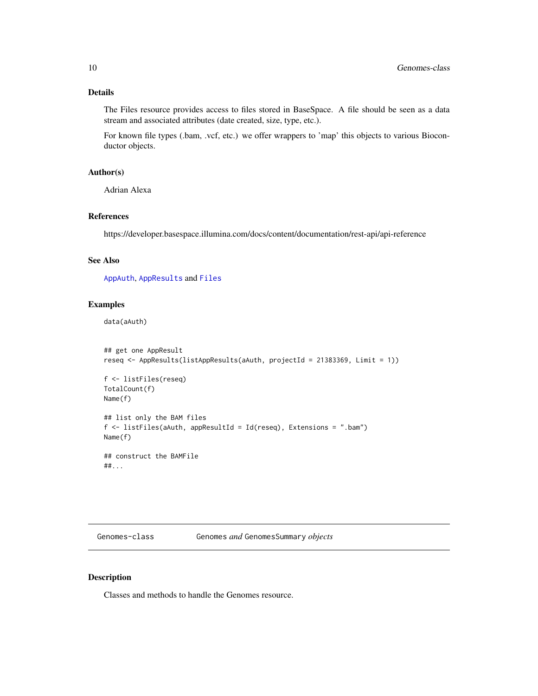# <span id="page-9-0"></span>Details

The Files resource provides access to files stored in BaseSpace. A file should be seen as a data stream and associated attributes (date created, size, type, etc.).

For known file types (.bam, .vcf, etc.) we offer wrappers to 'map' this objects to various Bioconductor objects.

# Author(s)

Adrian Alexa

# References

https://developer.basespace.illumina.com/docs/content/documentation/rest-api/api-reference

# See Also

[AppAuth](#page-3-1), [AppResults](#page-4-1) and [Files](#page-7-1)

# Examples

data(aAuth)

```
## get one AppResult
reseq <- AppResults(listAppResults(aAuth, projectId = 21383369, Limit = 1))
f <- listFiles(reseq)
TotalCount(f)
Name(f)
## list only the BAM files
f <- listFiles(aAuth, appResultId = Id(reseq), Extensions = ".bam")
Name(f)
## construct the BAMFile
##...
```
<span id="page-9-1"></span>Genomes-class Genomes *and* GenomesSummary *objects*

#### Description

Classes and methods to handle the Genomes resource.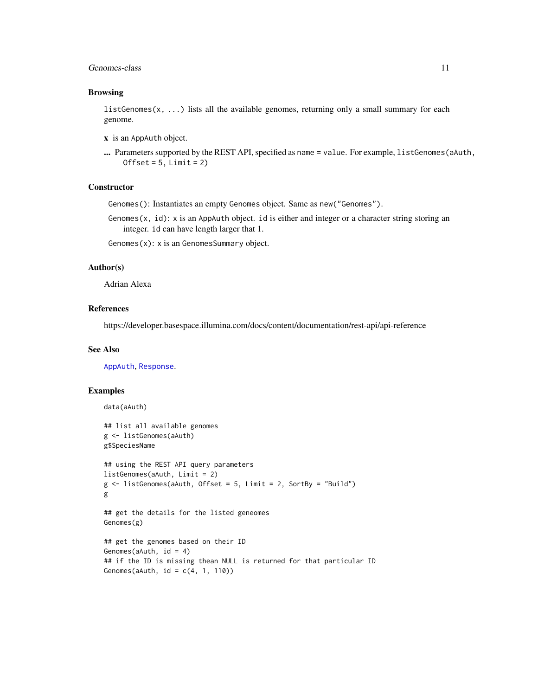#### <span id="page-10-0"></span>Genomes-class 11

#### Browsing

listGenomes $(x, \ldots)$  lists all the available genomes, returning only a small summary for each genome.

- x is an AppAuth object.
- ... Parameters supported by the REST API, specified as name = value. For example, listGenomes(aAuth,  $Offset = 5$ ,  $Limit = 2)$

#### **Constructor**

Genomes(): Instantiates an empty Genomes object. Same as new("Genomes").

Genomes(x, id): x is an AppAuth object. id is either and integer or a character string storing an integer. id can have length larger that 1.

Genomes(x): x is an GenomesSummary object.

# Author(s)

Adrian Alexa

#### References

https://developer.basespace.illumina.com/docs/content/documentation/rest-api/api-reference

#### See Also

[AppAuth](#page-3-1), [Response](#page-12-1).

# Examples

```
data(aAuth)
## list all available genomes
g <- listGenomes(aAuth)
g$SpeciesName
## using the REST API query parameters
listGenomes(aAuth, Limit = 2)
g <- listGenomes(aAuth, Offset = 5, Limit = 2, SortBy = "Build")
g
## get the details for the listed geneomes
Genomes(g)
## get the genomes based on their ID
Genomes(aAuth, id = 4)
## if the ID is missing thean NULL is returned for that particular ID
Genomes(aAuth, id = c(4, 1, 110))
```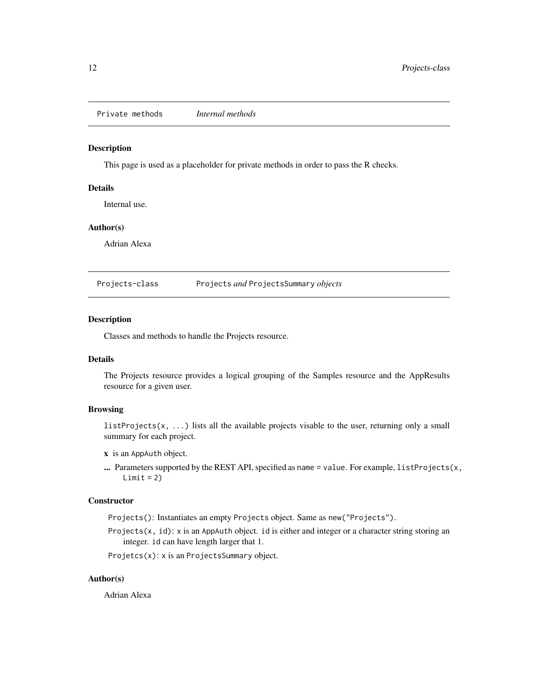<span id="page-11-0"></span>Private methods *Internal methods*

#### Description

This page is used as a placeholder for private methods in order to pass the R checks.

#### Details

Internal use.

# Author(s)

Adrian Alexa

<span id="page-11-1"></span>Projects-class Projects *and* ProjectsSummary *objects*

# Description

Classes and methods to handle the Projects resource.

# Details

The Projects resource provides a logical grouping of the Samples resource and the AppResults resource for a given user.

# Browsing

listProjects( $x, \ldots$ ) lists all the available projects visable to the user, returning only a small summary for each project.

- x is an AppAuth object.
- ... Parameters supported by the REST API, specified as name = value. For example, listProjects $(x,$  $Limit = 2)$

#### **Constructor**

Projects(): Instantiates an empty Projects object. Same as new("Projects").

Projects $(x, id)$ : x is an AppAuth object. id is either and integer or a character string storing an integer. id can have length larger that 1.

Projetcs(x): x is an ProjectsSummary object.

# Author(s)

Adrian Alexa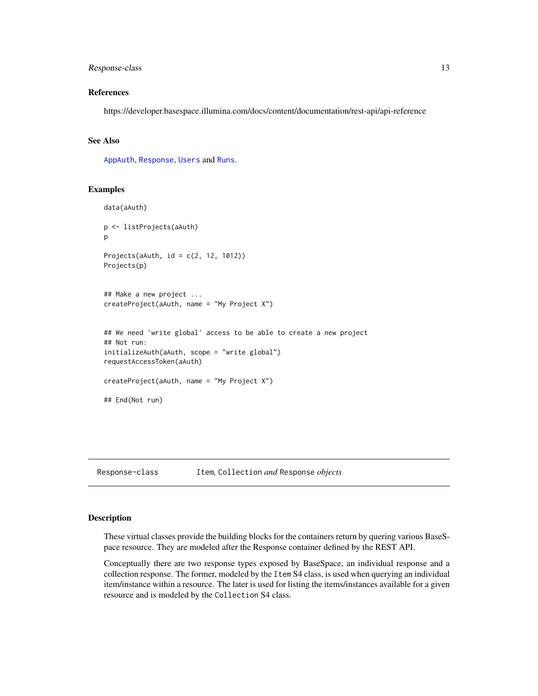## <span id="page-12-0"></span>Response-class 13

# References

https://developer.basespace.illumina.com/docs/content/documentation/rest-api/api-reference

#### See Also

[AppAuth](#page-3-1), [Response](#page-12-1), [Users](#page-18-1) and [Runs](#page-15-1).

#### Examples

```
data(aAuth)
p <- listProjects(aAuth)
p
Projects(aAuth, id = c(2, 12, 1012))
Projects(p)
## Make a new project ...
createProject(aAuth, name = "My Project X")
## We need 'write global' access to be able to create a new project
## Not run:
initializeAuth(aAuth, scope = "write global")
requestAccessToken(aAuth)
createProject(aAuth, name = "My Project X")
## End(Not run)
```
<span id="page-12-1"></span>Response-class Item*,* Collection *and* Response *objects*

#### Description

These virtual classes provide the building blocks for the containers return by quering various BaseSpace resource. They are modeled after the Response container defined by the REST API.

Conceptually there are two response types exposed by BaseSpace, an individual response and a collection response. The former, modeled by the Item S4 class, is used when querying an individual item/instance within a resource. The later is used for listing the items/instances available for a given resource and is modeled by the Collection S4 class.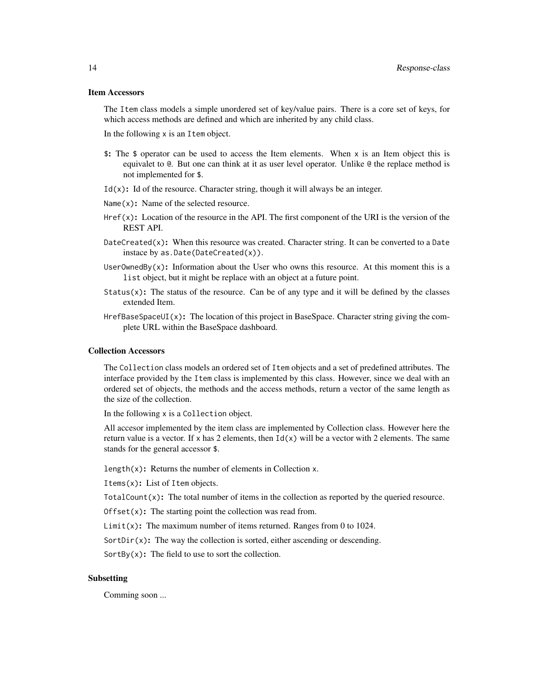#### Item Accessors

The Item class models a simple unordered set of key/value pairs. There is a core set of keys, for which access methods are defined and which are inherited by any child class.

In the following x is an Item object.

- $\ast$ : The  $\ast$  operator can be used to access the Item elements. When x is an Item object this is equivalet to @. But one can think at it as user level operator. Unlike @ the replace method is not implemented for \$.
- $Id(x)$ : Id of the resource. Character string, though it will always be an integer.
- Name $(x)$ : Name of the selected resource.
- $Herf(x)$ : Location of the resource in the API. The first component of the URI is the version of the REST API.
- DateCreated $(x)$ : When this resource was created. Character string. It can be converted to a Date instace by as.Date(DateCreated(x)).
- UserOwnedBy $(x)$ : Information about the User who owns this resource. At this moment this is a list object, but it might be replace with an object at a future point.
- Status(x): The status of the resource. Can be of any type and it will be defined by the classes extended Item.
- HrefBaseSpaceUI(x): The location of this project in BaseSpace. Character string giving the complete URL within the BaseSpace dashboard.

#### Collection Accessors

The Collection class models an ordered set of Item objects and a set of predefined attributes. The interface provided by the Item class is implemented by this class. However, since we deal with an ordered set of objects, the methods and the access methods, return a vector of the same length as the size of the collection.

In the following x is a Collection object.

All accesor implemented by the item class are implemented by Collection class. However here the return value is a vector. If x has 2 elements, then  $Id(x)$  will be a vector with 2 elements. The same stands for the general accessor \$.

length(x): Returns the number of elements in Collection x.

Items(x): List of Item objects.

 $TotalCount(x)$ : The total number of items in the collection as reported by the queried resource.

 $Offset(x)$ : The starting point the collection was read from.

Limit(x): The maximum number of items returned. Ranges from 0 to 1024.

SortDir(x): The way the collection is sorted, either ascending or descending.

SortBy $(x)$ : The field to use to sort the collection.

#### Subsetting

Comming soon ...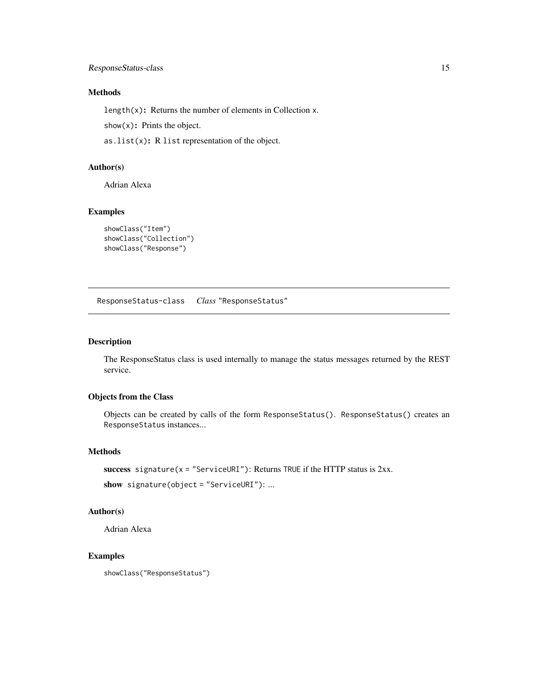# <span id="page-14-0"></span>Methods

length $(x)$ : Returns the number of elements in Collection x.

show(x): Prints the object.

as.list(x): R list representation of the object.

#### Author(s)

Adrian Alexa

# Examples

```
showClass("Item")
showClass("Collection")
showClass("Response")
```
ResponseStatus-class *Class* "ResponseStatus"

# Description

The ResponseStatus class is used internally to manage the status messages returned by the REST service.

# Objects from the Class

Objects can be created by calls of the form ResponseStatus(). ResponseStatus() creates an ResponseStatus instances...

#### Methods

success signature( $x =$  "ServiceURI"): Returns TRUE if the HTTP status is  $2xx$ .

```
show signature(object = "ServiceURI"): ...
```
#### Author(s)

Adrian Alexa

# Examples

showClass("ResponseStatus")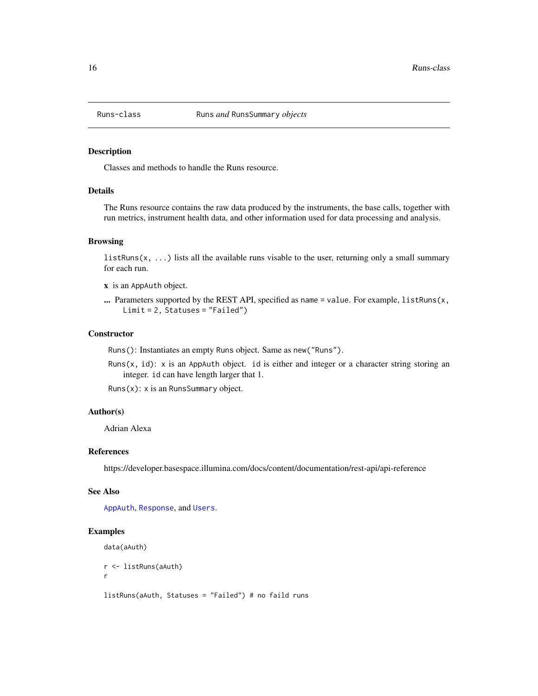<span id="page-15-1"></span><span id="page-15-0"></span>

# Description

Classes and methods to handle the Runs resource.

# Details

The Runs resource contains the raw data produced by the instruments, the base calls, together with run metrics, instrument health data, and other information used for data processing and analysis.

#### **Browsing**

listRuns(x, ...) lists all the available runs visable to the user, returning only a small summary for each run.

x is an AppAuth object.

... Parameters supported by the REST API, specified as name = value. For example, listRuns(x, Limit = 2, Statuses = "Failed")

#### **Constructor**

Runs(): Instantiates an empty Runs object. Same as new("Runs").

Runs $(x, id)$ : x is an AppAuth object. id is either and integer or a character string storing an integer. id can have length larger that 1.

Runs(x): x is an RunsSummary object.

# Author(s)

Adrian Alexa

#### References

https://developer.basespace.illumina.com/docs/content/documentation/rest-api/api-reference

#### See Also

[AppAuth](#page-3-1), [Response](#page-12-1), and [Users](#page-18-1).

#### Examples

```
data(aAuth)
r <- listRuns(aAuth)
r
listRuns(aAuth, Statuses = "Failed") # no faild runs
```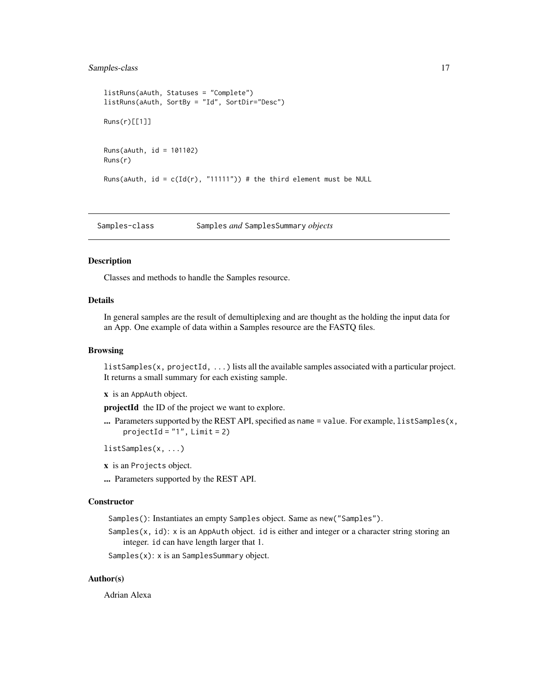# <span id="page-16-0"></span>Samples-class 17

```
listRuns(aAuth, Statuses = "Complete")
listRuns(aAuth, SortBy = "Id", SortDir="Desc")
Runs(r)[[1]]
Runs(aAuth, id = 101102)
Runs(r)
Runs(aAuth, id = c(Id(r), '11111'')) # the third element must be NULL
```
<span id="page-16-1"></span>Samples-class Samples *and* SamplesSummary *objects* 

# Description

Classes and methods to handle the Samples resource.

# Details

In general samples are the result of demultiplexing and are thought as the holding the input data for an App. One example of data within a Samples resource are the FASTQ files.

#### **Browsing**

listSamples(x, projectId, ...) lists all the available samples associated with a particular project. It returns a small summary for each existing sample.

x is an AppAuth object.

projectId the ID of the project we want to explore.

- ... Parameters supported by the REST API, specified as name = value. For example, listSamples(x,  $projectId = "1", Limit = 2)$
- listSamples(x, ...)
- x is an Projects object.
- ... Parameters supported by the REST API.

#### **Constructor**

Samples(): Instantiates an empty Samples object. Same as new("Samples").

Samples(x, id): x is an AppAuth object. id is either and integer or a character string storing an integer. id can have length larger that 1.

Samples(x): x is an SamplesSummary object.

## Author(s)

Adrian Alexa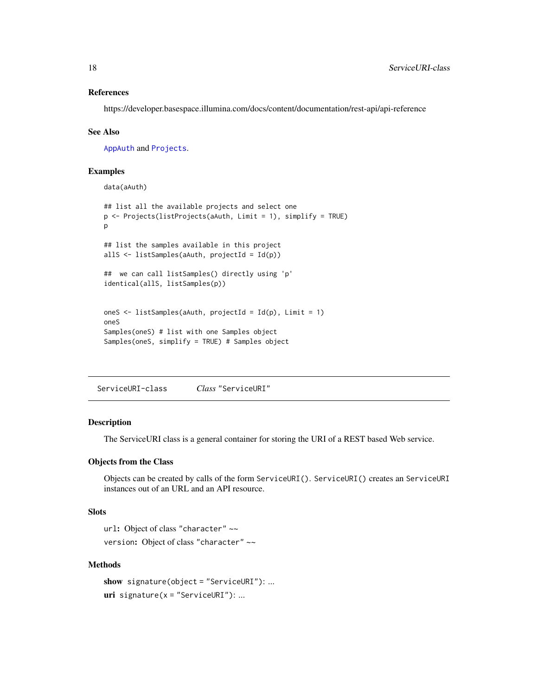#### <span id="page-17-0"></span>References

https://developer.basespace.illumina.com/docs/content/documentation/rest-api/api-reference

#### See Also

[AppAuth](#page-3-1) and [Projects](#page-11-1).

# Examples

data(aAuth)

```
## list all the available projects and select one
p <- Projects(listProjects(aAuth, Limit = 1), simplify = TRUE)
p
## list the samples available in this project
allS <- listSamples(aAuth, projectId = Id(p))
## we can call listSamples() directly using 'p'
identical(allS, listSamples(p))
oneS <- listSamples(aAuth, projectId = Id(p), Limit = 1)
oneS
Samples(oneS) # list with one Samples object
Samples(oneS, simplify = TRUE) # Samples object
```
<span id="page-17-1"></span>ServiceURI-class *Class* "ServiceURI"

#### Description

The ServiceURI class is a general container for storing the URI of a REST based Web service.

#### Objects from the Class

Objects can be created by calls of the form ServiceURI(). ServiceURI() creates an ServiceURI instances out of an URL and an API resource.

#### Slots

```
url: Object of class "character" ~~
```
version: Object of class "character" ~~

# Methods

```
show signature(object = "ServiceURI"): ...
uri signature(x ="ServiceURI"): ...
```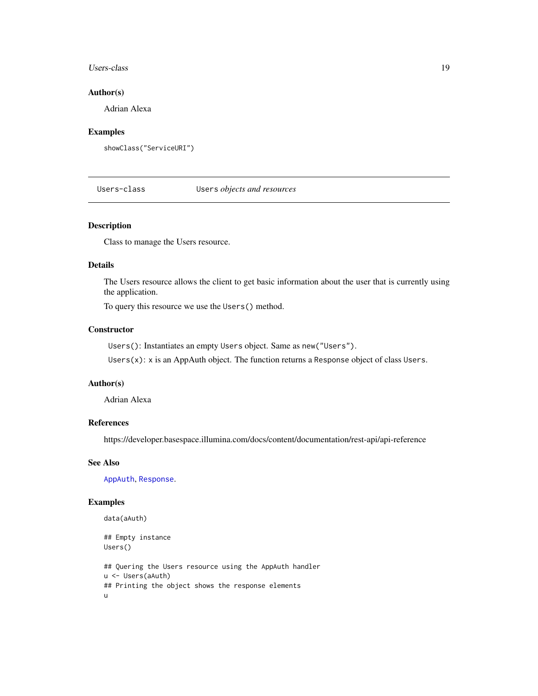#### <span id="page-18-0"></span>Users-class 19

# Author(s)

Adrian Alexa

#### Examples

showClass("ServiceURI")

<span id="page-18-1"></span>Users-class Users *objects and resources*

#### Description

Class to manage the Users resource.

# Details

The Users resource allows the client to get basic information about the user that is currently using the application.

To query this resource we use the Users() method.

#### **Constructor**

Users(): Instantiates an empty Users object. Same as new("Users").

Users(x): x is an AppAuth object. The function returns a Response object of class Users.

## Author(s)

Adrian Alexa

# References

https://developer.basespace.illumina.com/docs/content/documentation/rest-api/api-reference

# See Also

[AppAuth](#page-3-1), [Response](#page-12-1).

# Examples

data(aAuth)

## Empty instance Users()

## Quering the Users resource using the AppAuth handler u <- Users(aAuth) ## Printing the object shows the response elements u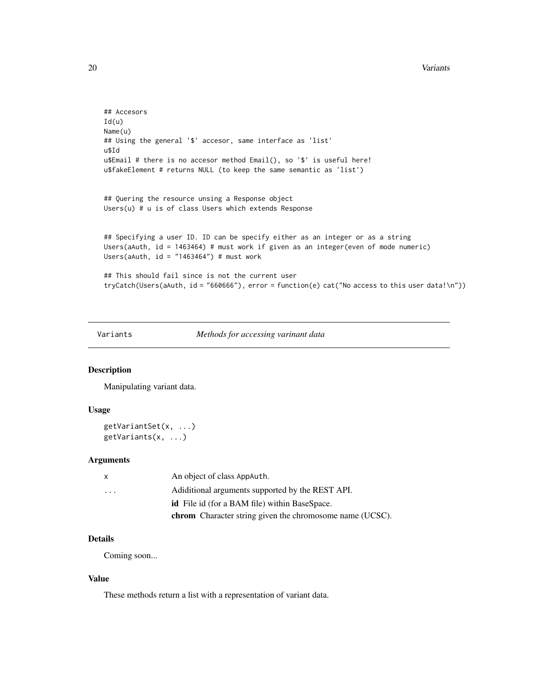```
## Accesors
Id(u)Name(u)
## Using the general '$' accesor, same interface as 'list'
u$Id
u$Email # there is no accesor method Email(), so '$' is useful here!
u$fakeElement # returns NULL (to keep the same semantic as 'list')
## Quering the resource unsing a Response object
Users(u) # u is of class Users which extends Response
## Specifying a user ID. ID can be specify either as an integer or as a string
Users(aAuth, id = 1463464) # must work if given as an integer(even of mode numeric)
Users(aAuth, id = "1463464") # must work
## This should fail since is not the current user
tryCatch(Users(aAuth, id = "660666"), error = function(e) cat("No access to this user data!\n"))
```
Variants *Methods for accessing varinant data*

#### Description

Manipulating variant data.

#### Usage

```
getVariantSet(x, ...)
getVariants(x, ...)
```
# Arguments

| $\mathsf{x}$            | An object of class AppAuth.                                     |
|-------------------------|-----------------------------------------------------------------|
| $\cdot$ $\cdot$ $\cdot$ | Adiditional arguments supported by the REST API.                |
|                         | <b>id</b> File id (for a BAM file) within BaseSpace.            |
|                         | <b>chrom</b> Character string given the chromosome name (UCSC). |

# Details

Coming soon...

### Value

These methods return a list with a representation of variant data.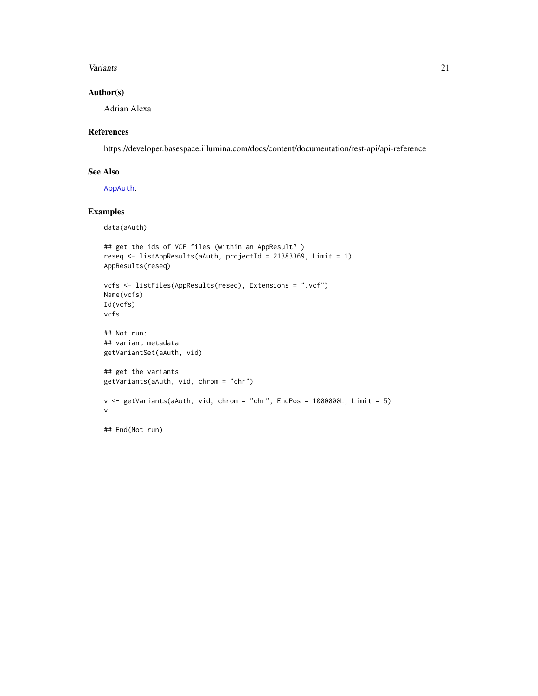#### <span id="page-20-0"></span>Variants 21

# Author(s)

Adrian Alexa

# References

https://developer.basespace.illumina.com/docs/content/documentation/rest-api/api-reference

#### See Also

[AppAuth](#page-3-1).

#### Examples

data(aAuth)

```
## get the ids of VCF files (within an AppResult? )
reseq <- listAppResults(aAuth, projectId = 21383369, Limit = 1)
AppResults(reseq)
vcfs <- listFiles(AppResults(reseq), Extensions = ".vcf")
Name(vcfs)
Id(vcfs)
vcfs
## Not run:
## variant metadata
getVariantSet(aAuth, vid)
## get the variants
getVariants(aAuth, vid, chrom = "chr")
v <- getVariants(aAuth, vid, chrom = "chr", EndPos = 1000000L, Limit = 5)
v
## End(Not run)
```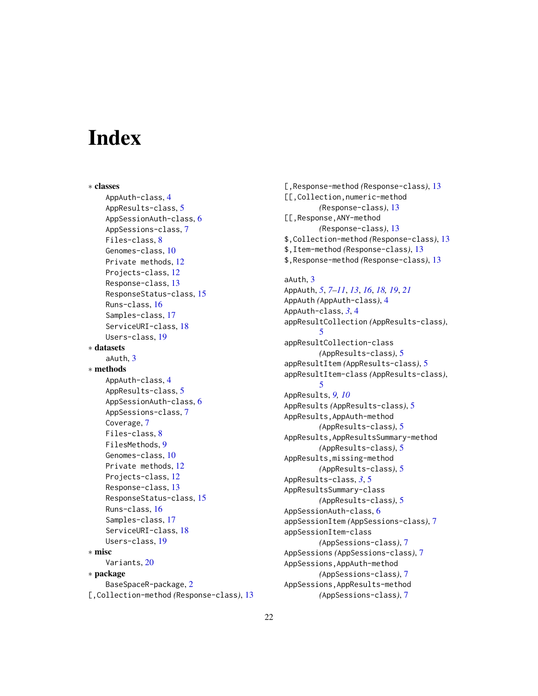# <span id="page-21-0"></span>**Index**

∗ classes AppAuth-class, [4](#page-3-0) AppResults-class, [5](#page-4-0) AppSessionAuth-class, [6](#page-5-0) AppSessions-class, [7](#page-6-0) Files-class, [8](#page-7-0) Genomes-class, [10](#page-9-0) Private methods, [12](#page-11-0) Projects-class, [12](#page-11-0) Response-class, [13](#page-12-0) ResponseStatus-class, [15](#page-14-0) Runs-class, [16](#page-15-0) Samples-class, [17](#page-16-0) ServiceURI-class, [18](#page-17-0) Users-class, [19](#page-18-0) ∗ datasets aAuth, [3](#page-2-0) ∗ methods AppAuth-class, [4](#page-3-0) AppResults-class, [5](#page-4-0) AppSessionAuth-class, [6](#page-5-0) AppSessions-class, [7](#page-6-0) Coverage, [7](#page-6-0) Files-class, [8](#page-7-0) FilesMethods, [9](#page-8-0) Genomes-class, [10](#page-9-0) Private methods, [12](#page-11-0) Projects-class, [12](#page-11-0) Response-class, [13](#page-12-0) ResponseStatus-class, [15](#page-14-0) Runs-class, [16](#page-15-0) Samples-class, [17](#page-16-0) ServiceURI-class, [18](#page-17-0) Users-class, [19](#page-18-0) ∗ misc Variants, [20](#page-19-0) ∗ package BaseSpaceR-package, [2](#page-1-0) [,Collection-method *(*Response-class*)*, [13](#page-12-0)

[,Response-method *(*Response-class*)*, [13](#page-12-0) [[,Collection,numeric-method *(*Response-class*)*, [13](#page-12-0) [[,Response,ANY-method *(*Response-class*)*, [13](#page-12-0) \$,Collection-method *(*Response-class*)*, [13](#page-12-0) \$,Item-method *(*Response-class*)*, [13](#page-12-0) \$,Response-method *(*Response-class*)*, [13](#page-12-0)

# aAuth, [3](#page-2-0) AppAuth, *[5](#page-4-0)*, *[7](#page-6-0)[–11](#page-10-0)*, *[13](#page-12-0)*, *[16](#page-15-0)*, *[18,](#page-17-0) [19](#page-18-0)*, *[21](#page-20-0)* AppAuth *(*AppAuth-class*)*, [4](#page-3-0) AppAuth-class, *[3](#page-2-0)*, [4](#page-3-0) appResultCollection *(*AppResults-class*)*, [5](#page-4-0) appResultCollection-class *(*AppResults-class*)*, [5](#page-4-0) appResultItem *(*AppResults-class*)*, [5](#page-4-0) appResultItem-class *(*AppResults-class*)*, [5](#page-4-0) AppResults, *[9,](#page-8-0) [10](#page-9-0)* AppResults *(*AppResults-class*)*, [5](#page-4-0) AppResults,AppAuth-method *(*AppResults-class*)*, [5](#page-4-0) AppResults,AppResultsSummary-method *(*AppResults-class*)*, [5](#page-4-0) AppResults,missing-method *(*AppResults-class*)*, [5](#page-4-0) AppResults-class, *[3](#page-2-0)*, [5](#page-4-0) AppResultsSummary-class *(*AppResults-class*)*, [5](#page-4-0) AppSessionAuth-class, [6](#page-5-0) appSessionItem *(*AppSessions-class*)*, [7](#page-6-0) appSessionItem-class *(*AppSessions-class*)*, [7](#page-6-0) AppSessions *(*AppSessions-class*)*, [7](#page-6-0) AppSessions,AppAuth-method *(*AppSessions-class*)*, [7](#page-6-0) AppSessions,AppResults-method *(*AppSessions-class*)*, [7](#page-6-0)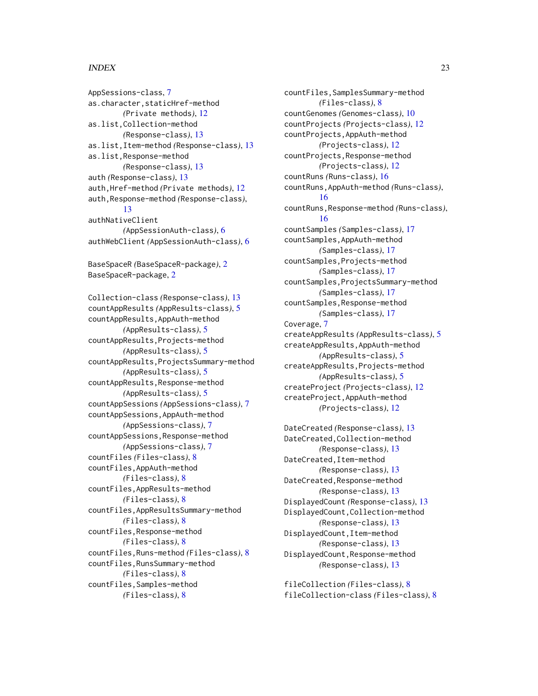#### $I<sub>N</sub>DEX$  23

AppSessions-class, [7](#page-6-0) as.character,staticHref-method *(*Private methods*)*, [12](#page-11-0) as.list,Collection-method *(*Response-class*)*, [13](#page-12-0) as.list,Item-method *(*Response-class*)*, [13](#page-12-0) as.list,Response-method *(*Response-class*)*, [13](#page-12-0) auth *(*Response-class*)*, [13](#page-12-0) auth,Href-method *(*Private methods*)*, [12](#page-11-0) auth,Response-method *(*Response-class*)*, [13](#page-12-0) authNativeClient *(*AppSessionAuth-class*)*, [6](#page-5-0) authWebClient *(*AppSessionAuth-class*)*, [6](#page-5-0)

BaseSpaceR *(*BaseSpaceR-package*)*, [2](#page-1-0) BaseSpaceR-package, [2](#page-1-0)

Collection-class *(*Response-class*)*, [13](#page-12-0) countAppResults *(*AppResults-class*)*, [5](#page-4-0) countAppResults,AppAuth-method *(*AppResults-class*)*, [5](#page-4-0) countAppResults,Projects-method *(*AppResults-class*)*, [5](#page-4-0) countAppResults,ProjectsSummary-method *(*AppResults-class*)*, [5](#page-4-0) countAppResults,Response-method *(*AppResults-class*)*, [5](#page-4-0) countAppSessions *(*AppSessions-class*)*, [7](#page-6-0) countAppSessions,AppAuth-method *(*AppSessions-class*)*, [7](#page-6-0) countAppSessions,Response-method *(*AppSessions-class*)*, [7](#page-6-0) countFiles *(*Files-class*)*, [8](#page-7-0) countFiles,AppAuth-method *(*Files-class*)*, [8](#page-7-0) countFiles,AppResults-method *(*Files-class*)*, [8](#page-7-0) countFiles,AppResultsSummary-method *(*Files-class*)*, [8](#page-7-0) countFiles,Response-method *(*Files-class*)*, [8](#page-7-0) countFiles,Runs-method *(*Files-class*)*, [8](#page-7-0) countFiles,RunsSummary-method *(*Files-class*)*, [8](#page-7-0) countFiles,Samples-method *(*Files-class*)*, [8](#page-7-0)

countFiles,SamplesSummary-method *(*Files-class*)*, [8](#page-7-0) countGenomes *(*Genomes-class*)*, [10](#page-9-0) countProjects *(*Projects-class*)*, [12](#page-11-0) countProjects,AppAuth-method *(*Projects-class*)*, [12](#page-11-0) countProjects,Response-method *(*Projects-class*)*, [12](#page-11-0) countRuns *(*Runs-class*)*, [16](#page-15-0) countRuns,AppAuth-method *(*Runs-class*)*, [16](#page-15-0) countRuns,Response-method *(*Runs-class*)*, [16](#page-15-0) countSamples *(*Samples-class*)*, [17](#page-16-0) countSamples,AppAuth-method *(*Samples-class*)*, [17](#page-16-0) countSamples,Projects-method *(*Samples-class*)*, [17](#page-16-0) countSamples,ProjectsSummary-method *(*Samples-class*)*, [17](#page-16-0) countSamples,Response-method *(*Samples-class*)*, [17](#page-16-0) Coverage, [7](#page-6-0) createAppResults *(*AppResults-class*)*, [5](#page-4-0) createAppResults,AppAuth-method *(*AppResults-class*)*, [5](#page-4-0) createAppResults,Projects-method *(*AppResults-class*)*, [5](#page-4-0) createProject *(*Projects-class*)*, [12](#page-11-0) createProject,AppAuth-method *(*Projects-class*)*, [12](#page-11-0)

DateCreated *(*Response-class*)*, [13](#page-12-0) DateCreated,Collection-method *(*Response-class*)*, [13](#page-12-0) DateCreated,Item-method *(*Response-class*)*, [13](#page-12-0) DateCreated,Response-method *(*Response-class*)*, [13](#page-12-0) DisplayedCount *(*Response-class*)*, [13](#page-12-0) DisplayedCount,Collection-method *(*Response-class*)*, [13](#page-12-0) DisplayedCount,Item-method *(*Response-class*)*, [13](#page-12-0) DisplayedCount,Response-method *(*Response-class*)*, [13](#page-12-0)

fileCollection *(*Files-class*)*, [8](#page-7-0) fileCollection-class *(*Files-class*)*, [8](#page-7-0)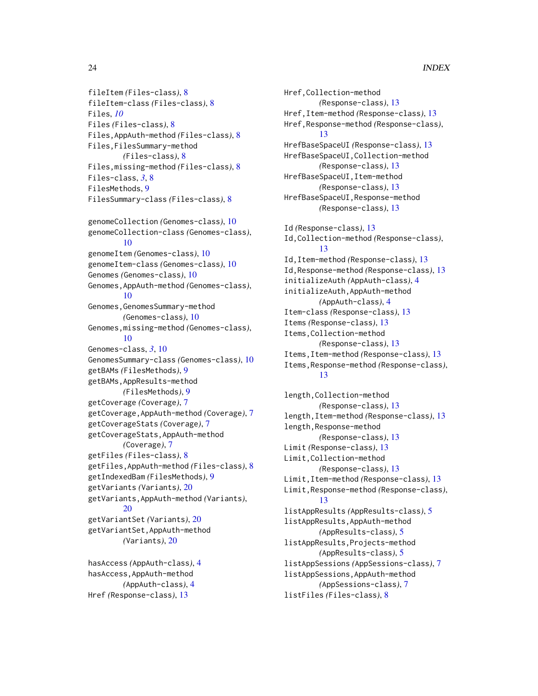# 24 INDEX

```
fileItem (Files-class), 8
fileItem-class (Files-class), 8
Files, 10
Files (Files-class), 8
Files,AppAuth-method (Files-class), 8
Files,FilesSummary-method
        (Files-class), 8
Files,missing-method (Files-class), 8
Files-class, 3, 8
FilesMethods, 9
FilesSummary-class (Files-class), 8
genomeCollection (Genomes-class), 10
genomeCollection-class (Genomes-class),
        10
genomeItem (Genomes-class), 10
genomeItem-class (Genomes-class), 10
Genomes (Genomes-class), 10
Genomes,AppAuth-method (Genomes-class),
        10
Genomes,GenomesSummary-method
        (Genomes-class), 10
Genomes,missing-method (Genomes-class),
        10
Genomes-class, 3, 10
GenomesSummary-class (Genomes-class), 10
getBAMs (FilesMethods), 9
getBAMs,AppResults-method
        (FilesMethods), 9
getCoverage (Coverage), 7
getCoverage,AppAuth-method (Coverage), 7
getCoverageStats (Coverage), 7
getCoverageStats,AppAuth-method
        (Coverage), 7
getFiles (Files-class), 8
getFiles,AppAuth-method (Files-class), 8
getIndexedBam (FilesMethods), 9
getVariants (Variants), 20
getVariants,AppAuth-method (Variants),
        20
getVariantSet (Variants), 20
getVariantSet,AppAuth-method
        (Variants), 20
hasAccess (AppAuth-class), 4
hasAccess,AppAuth-method
```

```
(AppAuth-class), 4
Href (Response-class), 13
```
Href,Collection-method *(*Response-class*)*, [13](#page-12-0) Href,Item-method *(*Response-class*)*, [13](#page-12-0) Href,Response-method *(*Response-class*)*, [13](#page-12-0) HrefBaseSpaceUI *(*Response-class*)*, [13](#page-12-0) HrefBaseSpaceUI,Collection-method *(*Response-class*)*, [13](#page-12-0) HrefBaseSpaceUI,Item-method *(*Response-class*)*, [13](#page-12-0) HrefBaseSpaceUI,Response-method *(*Response-class*)*, [13](#page-12-0) Id *(*Response-class*)*, [13](#page-12-0)

Id,Collection-method *(*Response-class*)*, [13](#page-12-0) Id,Item-method *(*Response-class*)*, [13](#page-12-0) Id,Response-method *(*Response-class*)*, [13](#page-12-0) initializeAuth *(*AppAuth-class*)*, [4](#page-3-0) initializeAuth,AppAuth-method *(*AppAuth-class*)*, [4](#page-3-0) Item-class *(*Response-class*)*, [13](#page-12-0) Items *(*Response-class*)*, [13](#page-12-0) Items,Collection-method *(*Response-class*)*, [13](#page-12-0) Items,Item-method *(*Response-class*)*, [13](#page-12-0) Items,Response-method *(*Response-class*)*, [13](#page-12-0)

length,Collection-method *(*Response-class*)*, [13](#page-12-0) length,Item-method *(*Response-class*)*, [13](#page-12-0) length,Response-method *(*Response-class*)*, [13](#page-12-0) Limit *(*Response-class*)*, [13](#page-12-0) Limit,Collection-method *(*Response-class*)*, [13](#page-12-0) Limit,Item-method *(*Response-class*)*, [13](#page-12-0) Limit,Response-method *(*Response-class*)*, [13](#page-12-0) listAppResults *(*AppResults-class*)*, [5](#page-4-0) listAppResults,AppAuth-method *(*AppResults-class*)*, [5](#page-4-0) listAppResults,Projects-method *(*AppResults-class*)*, [5](#page-4-0) listAppSessions *(*AppSessions-class*)*, [7](#page-6-0) listAppSessions,AppAuth-method *(*AppSessions-class*)*, [7](#page-6-0) listFiles *(*Files-class*)*, [8](#page-7-0)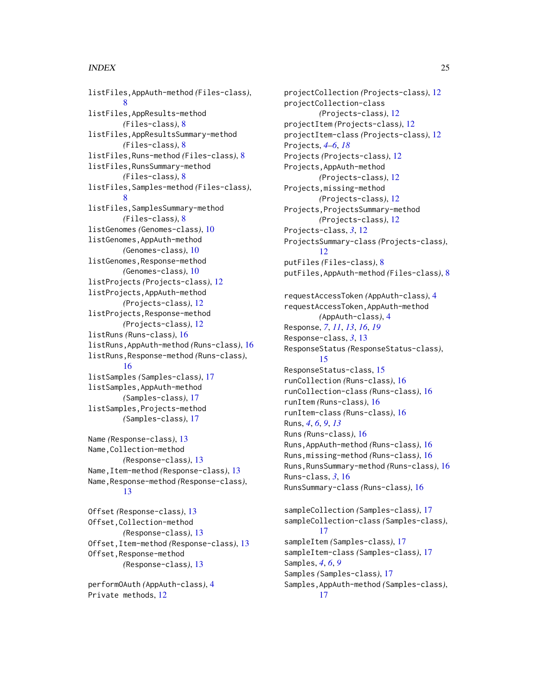#### INDEX 25

listFiles,AppAuth-method *(*Files-class*)*, [8](#page-7-0) listFiles,AppResults-method *(*Files-class*)*, [8](#page-7-0) listFiles,AppResultsSummary-method *(*Files-class*)*, [8](#page-7-0) listFiles,Runs-method *(*Files-class*)*, [8](#page-7-0) listFiles,RunsSummary-method *(*Files-class*)*, [8](#page-7-0) listFiles,Samples-method *(*Files-class*)*, [8](#page-7-0) listFiles,SamplesSummary-method *(*Files-class*)*, [8](#page-7-0) listGenomes *(*Genomes-class*)*, [10](#page-9-0) listGenomes,AppAuth-method *(*Genomes-class*)*, [10](#page-9-0) listGenomes,Response-method *(*Genomes-class*)*, [10](#page-9-0) listProjects *(*Projects-class*)*, [12](#page-11-0) listProjects,AppAuth-method *(*Projects-class*)*, [12](#page-11-0) listProjects,Response-method *(*Projects-class*)*, [12](#page-11-0) listRuns *(*Runs-class*)*, [16](#page-15-0) listRuns,AppAuth-method *(*Runs-class*)*, [16](#page-15-0) listRuns,Response-method *(*Runs-class*)*, [16](#page-15-0) listSamples *(*Samples-class*)*, [17](#page-16-0) listSamples,AppAuth-method *(*Samples-class*)*, [17](#page-16-0) listSamples,Projects-method *(*Samples-class*)*, [17](#page-16-0)

Name *(*Response-class*)*, [13](#page-12-0) Name,Collection-method *(*Response-class*)*, [13](#page-12-0) Name,Item-method *(*Response-class*)*, [13](#page-12-0) Name,Response-method *(*Response-class*)*, [13](#page-12-0)

Offset *(*Response-class*)*, [13](#page-12-0) Offset,Collection-method *(*Response-class*)*, [13](#page-12-0) Offset,Item-method *(*Response-class*)*, [13](#page-12-0) Offset,Response-method *(*Response-class*)*, [13](#page-12-0)

performOAuth *(*AppAuth-class*)*, [4](#page-3-0) Private methods, [12](#page-11-0)

projectCollection *(*Projects-class*)*, [12](#page-11-0) projectCollection-class *(*Projects-class*)*, [12](#page-11-0) projectItem *(*Projects-class*)*, [12](#page-11-0) projectItem-class *(*Projects-class*)*, [12](#page-11-0) Projects, *[4](#page-3-0)[–6](#page-5-0)*, *[18](#page-17-0)* Projects *(*Projects-class*)*, [12](#page-11-0) Projects,AppAuth-method *(*Projects-class*)*, [12](#page-11-0) Projects,missing-method *(*Projects-class*)*, [12](#page-11-0) Projects,ProjectsSummary-method *(*Projects-class*)*, [12](#page-11-0) Projects-class, *[3](#page-2-0)*, [12](#page-11-0) ProjectsSummary-class *(*Projects-class*)*, [12](#page-11-0) putFiles *(*Files-class*)*, [8](#page-7-0) putFiles,AppAuth-method *(*Files-class*)*, [8](#page-7-0) requestAccessToken *(*AppAuth-class*)*, [4](#page-3-0) requestAccessToken,AppAuth-method *(*AppAuth-class*)*, [4](#page-3-0) Response, *[7](#page-6-0)*, *[11](#page-10-0)*, *[13](#page-12-0)*, *[16](#page-15-0)*, *[19](#page-18-0)* Response-class, *[3](#page-2-0)*, [13](#page-12-0) ResponseStatus *(*ResponseStatus-class*)*, [15](#page-14-0) ResponseStatus-class, [15](#page-14-0) runCollection *(*Runs-class*)*, [16](#page-15-0) runCollection-class *(*Runs-class*)*, [16](#page-15-0) runItem *(*Runs-class*)*, [16](#page-15-0) runItem-class *(*Runs-class*)*, [16](#page-15-0)

Runs, *[4](#page-3-0)*, *[6](#page-5-0)*, *[9](#page-8-0)*, *[13](#page-12-0)* Runs *(*Runs-class*)*, [16](#page-15-0) Runs,AppAuth-method *(*Runs-class*)*, [16](#page-15-0) Runs,missing-method *(*Runs-class*)*, [16](#page-15-0) Runs,RunsSummary-method *(*Runs-class*)*, [16](#page-15-0) Runs-class, *[3](#page-2-0)*, [16](#page-15-0) RunsSummary-class *(*Runs-class*)*, [16](#page-15-0)

sampleCollection *(*Samples-class*)*, [17](#page-16-0) sampleCollection-class *(*Samples-class*)*, [17](#page-16-0) sampleItem *(*Samples-class*)*, [17](#page-16-0) sampleItem-class *(*Samples-class*)*, [17](#page-16-0) Samples, *[4](#page-3-0)*, *[6](#page-5-0)*, *[9](#page-8-0)* Samples *(*Samples-class*)*, [17](#page-16-0) Samples,AppAuth-method *(*Samples-class*)*, [17](#page-16-0)